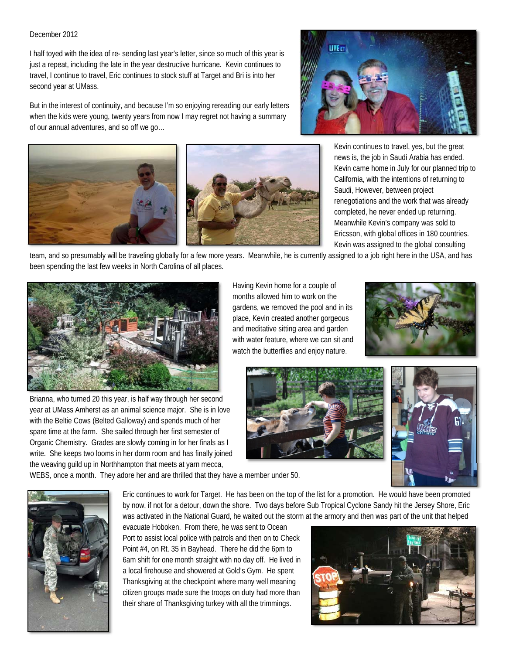## December 2012

I half toyed with the idea of re- sending last year's letter, since so much of this year is just a repeat, including the late in the year destructive hurricane. Kevin continues to travel, I continue to travel, Eric continues to stock stuff at Target and Bri is into her second year at UMass.

But in the interest of continuity, and because I'm so enjoying rereading our early letters when the kids were young, twenty years from now I may regret not having a summary of our annual adventures, and so off we go…





Kevin continues to travel, yes, but the great news is, the job in Saudi Arabia has ended. Kevin came home in July for our planned trip to California, with the intentions of returning to Saudi, However, between project renegotiations and the work that was already completed, he never ended up returning. Meanwhile Kevin's company was sold to Ericsson, with global offices in 180 countries. Kevin was assigned to the global consulting

team, and so presumably will be traveling globally for a few more years. Meanwhile, he is currently assigned to a job right here in the USA, and has been spending the last few weeks in North Carolina of all places.



Brianna, who turned 20 this year, is half way through her second year at UMass Amherst as an animal science major. She is in love with the Beltie Cows (Belted Galloway) and spends much of her spare time at the farm. She sailed through her first semester of Organic Chemistry. Grades are slowly coming in for her finals as I write. She keeps two looms in her dorm room and has finally joined the weaving guild up in Northhampton that meets at yarn mecca,

Having Kevin home for a couple of months allowed him to work on the gardens, we removed the pool and in its place, Kevin created another gorgeous and meditative sitting area and garden with water feature, where we can sit and watch the butterflies and enjoy nature.







WEBS, once a month. They adore her and are thrilled that they have a member under 50.

Eric continues to work for Target. He has been on the top of the list for a promotion. He would have been promoted by now, if not for a detour, down the shore. Two days before Sub Tropical Cyclone Sandy hit the Jersey Shore, Eric was activated in the National Guard, he waited out the storm at the armory and then was part of the unit that helped

evacuate Hoboken. From there, he was sent to Ocean Port to assist local police with patrols and then on to Check Point #4, on Rt. 35 in Bayhead. There he did the 6pm to 6am shift for one month straight with no day off. He lived in a local firehouse and showered at Gold's Gym. He spent Thanksgiving at the checkpoint where many well meaning citizen groups made sure the troops on duty had more than their share of Thanksgiving turkey with all the trimmings.